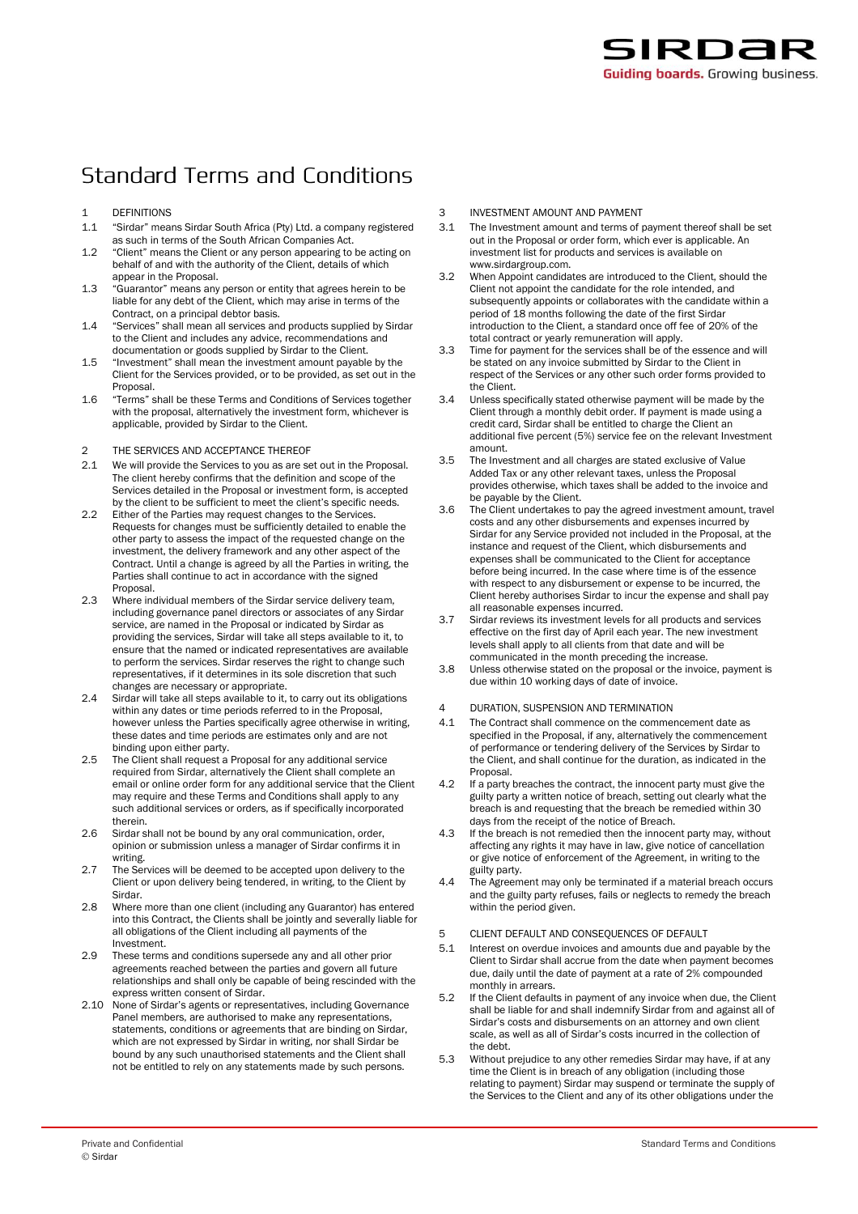## **Standard Terms and Conditions**

- 1 DEFINITIONS<br>1.1 "Sirdar" mea
- 1.1 "Sirdar" means Sirdar South Africa (Pty) Ltd. a company registered as such in terms of the South African Companies Act.
- 1.2 "Client" means the Client or any person appearing to be acting on behalf of and with the authority of the Client, details of which appear in the Proposal.
- 1.3 "Guarantor" means any person or entity that agrees herein to be liable for any debt of the Client, which may arise in terms of the Contract, on a principal debtor basis.
- 1.4 "Services" shall mean all services and products supplied by Sirdar to the Client and includes any advice, recommendations and documentation or goods supplied by Sirdar to the Client.
- 1.5 "Investment" shall mean the investment amount payable by the Client for the Services provided, or to be provided, as set out in the Proposal.
- 1.6 "Terms" shall be these Terms and Conditions of Services together with the proposal, alternatively the investment form, whichever is applicable, provided by Sirdar to the Client.
- 2 THE SERVICES AND ACCEPTANCE THEREOF
- 2.1 We will provide the Services to you as are set out in the Proposal. The client hereby confirms that the definition and scope of the Services detailed in the Proposal or investment form, is accepted by the client to be sufficient to meet the client's specific needs.
- 2.2 Either of the Parties may request changes to the Services. Requests for changes must be sufficiently detailed to enable the other party to assess the impact of the requested change on the investment, the delivery framework and any other aspect of the Contract. Until a change is agreed by all the Parties in writing, the Parties shall continue to act in accordance with the signed Proposal.
- 2.3 Where individual members of the Sirdar service delivery team, including governance panel directors or associates of any Sirdar service, are named in the Proposal or indicated by Sirdar as providing the services, Sirdar will take all steps available to it, to ensure that the named or indicated representatives are available to perform the services. Sirdar reserves the right to change such representatives, if it determines in its sole discretion that such changes are necessary or appropriate.
- 2.4 Sirdar will take all steps available to it, to carry out its obligations within any dates or time periods referred to in the Proposal, however unless the Parties specifically agree otherwise in writing, these dates and time periods are estimates only and are not binding upon either party.
- 2.5 The Client shall request a Proposal for any additional service required from Sirdar, alternatively the Client shall complete an email or online order form for any additional service that the Client may require and these Terms and Conditions shall apply to any such additional services or orders, as if specifically incorporated therein.
- 2.6 Sirdar shall not be bound by any oral communication, order, opinion or submission unless a manager of Sirdar confirms it in writing.
- 2.7 The Services will be deemed to be accepted upon delivery to the Client or upon delivery being tendered, in writing, to the Client by Sirdar.
- 2.8 Where more than one client (including any Guarantor) has entered into this Contract, the Clients shall be jointly and severally liable for all obligations of the Client including all payments of the Investment.
- 2.9 These terms and conditions supersede any and all other prior agreements reached between the parties and govern all future relationships and shall only be capable of being rescinded with the express written consent of Sirdar.
- 2.10 None of Sirdar's agents or representatives, including Governance Panel members, are authorised to make any representations, statements, conditions or agreements that are binding on Sirdar, which are not expressed by Sirdar in writing, nor shall Sirdar be bound by any such unauthorised statements and the Client shall not be entitled to rely on any statements made by such persons.
- 3 INVESTMENT AMOUNT AND PAYMENT<br>3.1 The Investment amount and terms of p
- The Investment amount and terms of payment thereof shall be set out in the Proposal or order form, which ever is applicable. An investment list for products and services is available on www.sirdargroup.com.
- 3.2 When Appoint candidates are introduced to the Client, should the Client not appoint the candidate for the role intended, and subsequently appoints or collaborates with the candidate within a period of 18 months following the date of the first Sirdar introduction to the Client, a standard once off fee of 20% of the total contract or yearly remuneration will apply.
- 3.3 Time for payment for the services shall be of the essence and will be stated on any invoice submitted by Sirdar to the Client in respect of the Services or any other such order forms provided to the Client.
- 3.4 Unless specifically stated otherwise payment will be made by the Client through a monthly debit order. If payment is made using a credit card, Sirdar shall be entitled to charge the Client an additional five percent (5%) service fee on the relevant Investment amount.
- 3.5 The Investment and all charges are stated exclusive of Value Added Tax or any other relevant taxes, unless the Proposal provides otherwise, which taxes shall be added to the invoice and be payable by the Client.
- The Client undertakes to pay the agreed investment amount, travel costs and any other disbursements and expenses incurred by Sirdar for any Service provided not included in the Proposal, at the instance and request of the Client, which disbursements and expenses shall be communicated to the Client for acceptance before being incurred. In the case where time is of the essence with respect to any disbursement or expense to be incurred, the Client hereby authorises Sirdar to incur the expense and shall pay all reasonable expenses incurred.
- 3.7 Sirdar reviews its investment levels for all products and services effective on the first day of April each year. The new investment levels shall apply to all clients from that date and will be communicated in the month preceding the increase.
- 3.8 Unless otherwise stated on the proposal or the invoice, payment is due within 10 working days of date of invoice.

4 DURATION, SUSPENSION AND TERMINATION

- 4.1 The Contract shall commence on the commencement date as specified in the Proposal, if any, alternatively the commencement of performance or tendering delivery of the Services by Sirdar to the Client, and shall continue for the duration, as indicated in the Proposal.
- 4.2 If a party breaches the contract, the innocent party must give the guilty party a written notice of breach, setting out clearly what the breach is and requesting that the breach be remedied within 30 days from the receipt of the notice of Breach.
- 4.3 If the breach is not remedied then the innocent party may, without affecting any rights it may have in law, give notice of cancellation or give notice of enforcement of the Agreement, in writing to the guilty party.
- 4.4 The Agreement may only be terminated if a material breach occurs and the guilty party refuses, fails or neglects to remedy the breach within the period given.

## 5 CLIENT DEFAULT AND CONSEQUENCES OF DEFAULT

- 5.1 Interest on overdue invoices and amounts due and payable by the Client to Sirdar shall accrue from the date when payment becomes due, daily until the date of payment at a rate of 2% compounded monthly in arrears.
- 5.2 If the Client defaults in payment of any invoice when due, the Client shall be liable for and shall indemnify Sirdar from and against all of Sirdar's costs and disbursements on an attorney and own client scale, as well as all of Sirdar's costs incurred in the collection of the debt.
- 5.3 Without prejudice to any other remedies Sirdar may have, if at any time the Client is in breach of any obligation (including those relating to payment) Sirdar may suspend or terminate the supply of the Services to the Client and any of its other obligations under the